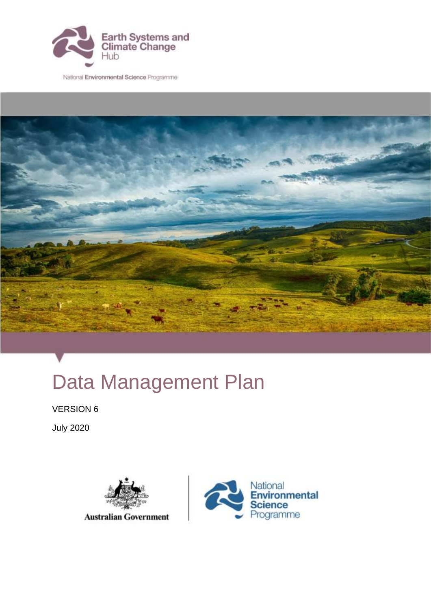

National Environmental Science Programme



# Data Management Plan

VERSION 6

July 2020



**Australian Government** 

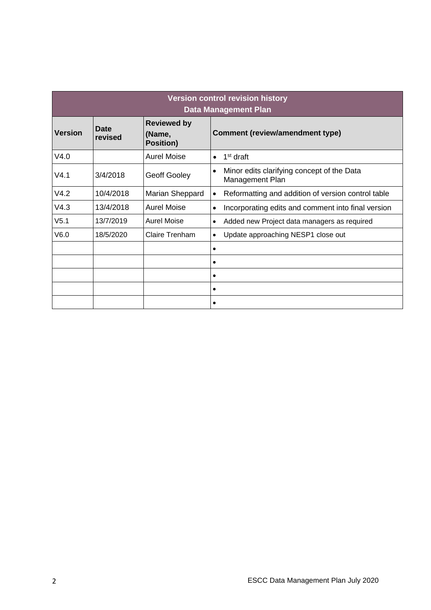| <b>Version control revision history</b><br><b>Data Management Plan</b> |                        |                                                  |                                                                            |
|------------------------------------------------------------------------|------------------------|--------------------------------------------------|----------------------------------------------------------------------------|
| <b>Version</b>                                                         | <b>Date</b><br>revised | <b>Reviewed by</b><br>(Name,<br><b>Position)</b> | <b>Comment (review/amendment type)</b>                                     |
| V4.0                                                                   |                        | <b>Aurel Moise</b>                               | 1 <sup>st</sup> draft<br>$\bullet$                                         |
| V4.1                                                                   | 3/4/2018               | <b>Geoff Gooley</b>                              | Minor edits clarifying concept of the Data<br>$\bullet$<br>Management Plan |
| V4.2                                                                   | 10/4/2018              | Marian Sheppard                                  | Reformatting and addition of version control table<br>$\bullet$            |
| V4.3                                                                   | 13/4/2018              | <b>Aurel Moise</b>                               | Incorporating edits and comment into final version<br>$\bullet$            |
| V <sub>5.1</sub>                                                       | 13/7/2019              | <b>Aurel Moise</b>                               | Added new Project data managers as required<br>$\bullet$                   |
| V6.0                                                                   | 18/5/2020              | Claire Trenham                                   | Update approaching NESP1 close out<br>$\bullet$                            |
|                                                                        |                        |                                                  | $\bullet$                                                                  |
|                                                                        |                        |                                                  | $\bullet$                                                                  |
|                                                                        |                        |                                                  | $\bullet$                                                                  |
|                                                                        |                        |                                                  | ٠                                                                          |
|                                                                        |                        |                                                  | $\bullet$                                                                  |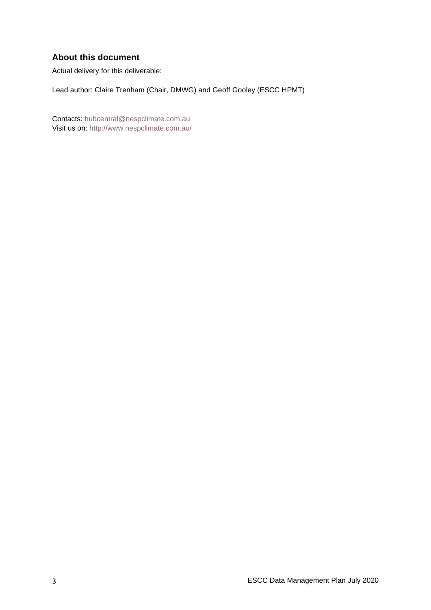#### **About this document**

Actual delivery for this deliverable:

Lead author: Claire Trenham (Chair, DMWG) and Geoff Gooley (ESCC HPMT)

Contacts: [hubcentral@nespclimate.com.au](mailto:hubcentral@nespclimate.com.au) Visit us on:<http://www.nespclimate.com.au/>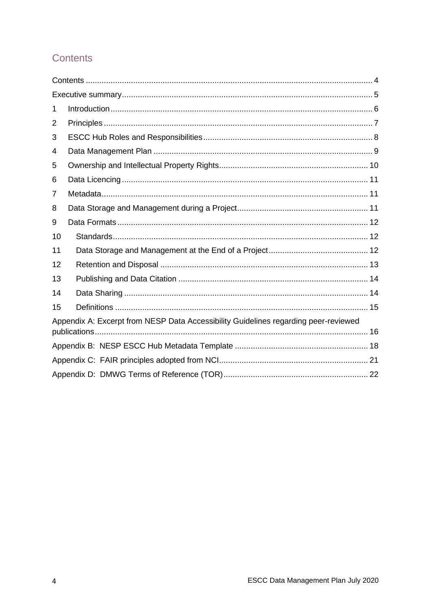## <span id="page-3-0"></span>**Contents**

| 1  |                                                                                     |  |
|----|-------------------------------------------------------------------------------------|--|
| 2  |                                                                                     |  |
| 3  |                                                                                     |  |
| 4  |                                                                                     |  |
| 5  |                                                                                     |  |
| 6  |                                                                                     |  |
| 7  |                                                                                     |  |
| 8  |                                                                                     |  |
| 9  |                                                                                     |  |
| 10 |                                                                                     |  |
| 11 |                                                                                     |  |
| 12 |                                                                                     |  |
| 13 |                                                                                     |  |
| 14 |                                                                                     |  |
| 15 |                                                                                     |  |
|    | Appendix A: Excerpt from NESP Data Accessibility Guidelines regarding peer-reviewed |  |
|    |                                                                                     |  |
|    |                                                                                     |  |
|    |                                                                                     |  |
|    |                                                                                     |  |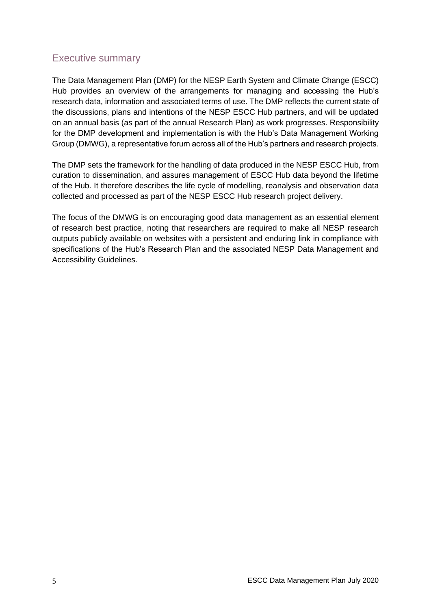#### <span id="page-4-0"></span>Executive summary

The Data Management Plan (DMP) for the NESP Earth System and Climate Change (ESCC) Hub provides an overview of the arrangements for managing and accessing the Hub's research data, information and associated terms of use. The DMP reflects the current state of the discussions, plans and intentions of the NESP ESCC Hub partners, and will be updated on an annual basis (as part of the annual Research Plan) as work progresses. Responsibility for the DMP development and implementation is with the Hub's Data Management Working Group (DMWG), a representative forum across all of the Hub's partners and research projects.

The DMP sets the framework for the handling of data produced in the NESP ESCC Hub, from curation to dissemination, and assures management of ESCC Hub data beyond the lifetime of the Hub. It therefore describes the life cycle of modelling, reanalysis and observation data collected and processed as part of the NESP ESCC Hub research project delivery.

The focus of the DMWG is on encouraging good data management as an essential element of research best practice, noting that researchers are required to make all NESP research outputs publicly available on websites with a persistent and enduring link in compliance with specifications of the Hub's Research Plan and the associated NESP Data Management and Accessibility Guidelines.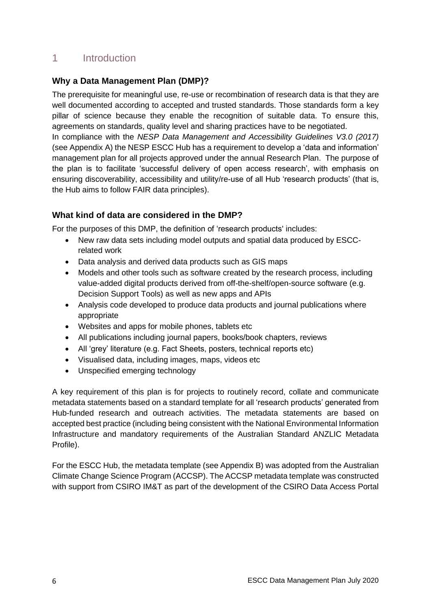## <span id="page-5-0"></span>1 Introduction

#### **Why a Data Management Plan (DMP)?**

The prerequisite for meaningful use, re-use or recombination of research data is that they are well documented according to accepted and trusted standards. Those standards form a key pillar of science because they enable the recognition of suitable data. To ensure this, agreements on standards, quality level and sharing practices have to be negotiated. In compliance with the *[NESP Data Management and Accessibility Guidelines V3.0 \(2017\)](file://///fsvic3-mel/CMAR-Home1/goo17h/NESP/Data%20&%20Information%20Management/nesp-data-accessibility-guidelines-v3.pdf)* (see Appendix A) the NESP ESCC Hub has a requirement to develop a 'data and information' management plan for all projects approved under the annual Research Plan. The purpose of the plan is to facilitate 'successful delivery of open access research', with emphasis on ensuring discoverability, accessibility and utility/re-use of all Hub 'research products' (that is,

## **What kind of data are considered in the DMP?**

the Hub aims to follow FAIR data principles).

For the purposes of this DMP, the definition of 'research products' includes:

- New raw data sets including model outputs and spatial data produced by ESCCrelated work
- Data analysis and derived data products such as GIS maps
- Models and other tools such as software created by the research process, including value-added digital products derived from off-the-shelf/open-source software (e.g. Decision Support Tools) as well as new apps and APIs
- Analysis code developed to produce data products and journal publications where appropriate
- Websites and apps for mobile phones, tablets etc
- All publications including journal papers, books/book chapters, reviews
- All 'grey' literature (e.g. Fact Sheets, posters, technical reports etc)
- Visualised data, including images, maps, videos etc
- Unspecified emerging technology

A key requirement of this plan is for projects to routinely record, collate and communicate metadata statements based on a standard template for all 'research products' generated from Hub-funded research and outreach activities. The metadata statements are based on accepted best practice (including being consistent with the National Environmental Information Infrastructure and mandatory requirements of the Australian Standard ANZLIC Metadata Profile).

For the ESCC Hub, the metadata template (see Appendix B) was adopted from the Australian Climate Change Science Program (ACCSP). The ACCSP metadata template was constructed with support from CSIRO IM&T as part of the development of the CSIRO Data Access Portal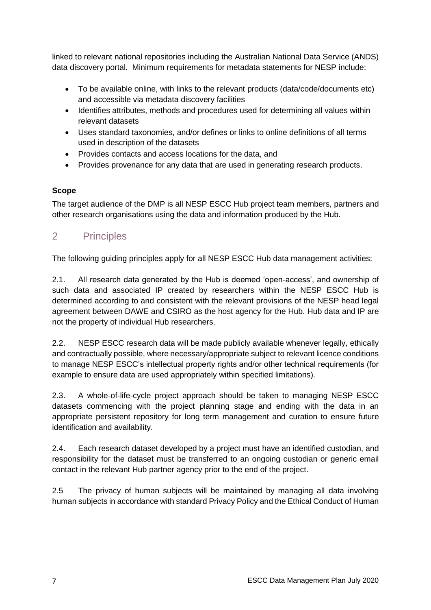linked to relevant national repositories including the Australian National Data Service (ANDS) data discovery portal. Minimum requirements for metadata statements for NESP include:

- To be available online, with links to the relevant products (data/code/documents etc) and accessible via metadata discovery facilities
- Identifies attributes, methods and procedures used for determining all values within relevant datasets
- Uses standard taxonomies, and/or defines or links to online definitions of all terms used in description of the datasets
- Provides contacts and access locations for the data, and
- Provides provenance for any data that are used in generating research products.

#### **Scope**

The target audience of the DMP is all NESP ESCC Hub project team members, partners and other research organisations using the data and information produced by the Hub.

## <span id="page-6-0"></span>2 Principles

The following guiding principles apply for all NESP ESCC Hub data management activities:

2.1. All research data generated by the Hub is deemed 'open-access', and ownership of such data and associated IP created by researchers within the NESP ESCC Hub is determined according to and consistent with the relevant provisions of the NESP head legal agreement between DAWE and CSIRO as the host agency for the Hub. Hub data and IP are not the property of individual Hub researchers.

2.2. NESP ESCC research data will be made publicly available whenever legally, ethically and contractually possible, where necessary/appropriate subject to relevant licence conditions to manage NESP ESCC's intellectual property rights and/or other technical requirements (for example to ensure data are used appropriately within specified limitations).

2.3. A whole-of-life-cycle project approach should be taken to managing NESP ESCC datasets commencing with the project planning stage and ending with the data in an appropriate persistent repository for long term management and curation to ensure future identification and availability.

2.4. Each research dataset developed by a project must have an identified custodian, and responsibility for the dataset must be transferred to an ongoing custodian or generic email contact in the relevant Hub partner agency prior to the end of the project.

2.5 The privacy of human subjects will be maintained by managing all data involving human subjects in accordance with standard Privacy Policy and the Ethical Conduct of Human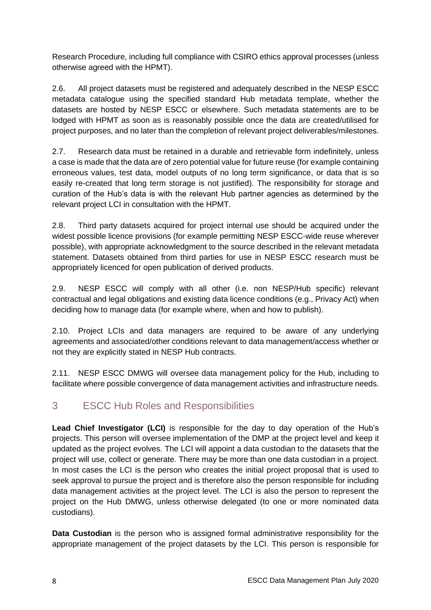Research Procedure, including full compliance with CSIRO ethics approval processes (unless otherwise agreed with the HPMT).

2.6. All project datasets must be registered and adequately described in the NESP ESCC metadata catalogue using the specified standard Hub metadata template, whether the datasets are hosted by NESP ESCC or elsewhere. Such metadata statements are to be lodged with HPMT as soon as is reasonably possible once the data are created/utilised for project purposes, and no later than the completion of relevant project deliverables/milestones.

2.7. Research data must be retained in a durable and retrievable form indefinitely, unless a case is made that the data are of zero potential value for future reuse (for example containing erroneous values, test data, model outputs of no long term significance, or data that is so easily re-created that long term storage is not justified). The responsibility for storage and curation of the Hub's data is with the relevant Hub partner agencies as determined by the relevant project LCI in consultation with the HPMT.

2.8. Third party datasets acquired for project internal use should be acquired under the widest possible licence provisions (for example permitting NESP ESCC-wide reuse wherever possible), with appropriate acknowledgment to the source described in the relevant metadata statement. Datasets obtained from third parties for use in NESP ESCC research must be appropriately licenced for open publication of derived products.

2.9. NESP ESCC will comply with all other (i.e. non NESP/Hub specific) relevant contractual and legal obligations and existing data licence conditions (e.g., Privacy Act) when deciding how to manage data (for example where, when and how to publish).

2.10. Project LCIs and data managers are required to be aware of any underlying agreements and associated/other conditions relevant to data management/access whether or not they are explicitly stated in NESP Hub contracts.

2.11. NESP ESCC DMWG will oversee data management policy for the Hub, including to facilitate where possible convergence of data management activities and infrastructure needs.

## <span id="page-7-0"></span>3 ESCC Hub Roles and Responsibilities

**Lead Chief Investigator (LCI)** is responsible for the day to day operation of the Hub's projects. This person will oversee implementation of the DMP at the project level and keep it updated as the project evolves. The LCI will appoint a data custodian to the datasets that the project will use, collect or generate. There may be more than one data custodian in a project. In most cases the LCI is the person who creates the initial project proposal that is used to seek approval to pursue the project and is therefore also the person responsible for including data management activities at the project level. The LCI is also the person to represent the project on the Hub DMWG, unless otherwise delegated (to one or more nominated data custodians).

**Data Custodian** is the person who is assigned formal administrative responsibility for the appropriate management of the project datasets by the LCI. This person is responsible for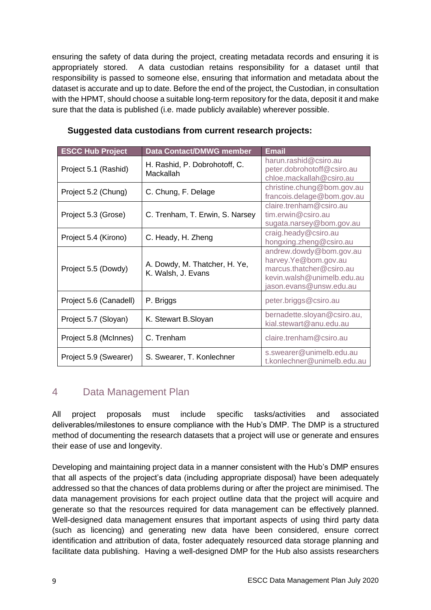ensuring the safety of data during the project, creating metadata records and ensuring it is appropriately stored. A data custodian retains responsibility for a dataset until that responsibility is passed to someone else, ensuring that information and metadata about the dataset is accurate and up to date. Before the end of the project, the Custodian, in consultation with the HPMT, should choose a suitable long-term repository for the data, deposit it and make sure that the data is published (i.e. made publicly available) wherever possible.

| <b>ESCC Hub Project</b> | <b>Data Contact/DMWG member</b>                     | <b>Email</b>                                                                                                                         |
|-------------------------|-----------------------------------------------------|--------------------------------------------------------------------------------------------------------------------------------------|
| Project 5.1 (Rashid)    | H. Rashid, P. Dobrohotoff, C.<br>Mackallah          | harun.rashid@csiro.au<br>peter.dobrohotoff@csiro.au<br>chloe.mackallah@csiro.au                                                      |
| Project 5.2 (Chung)     | C. Chung, F. Delage                                 | christine.chung@bom.gov.au<br>francois.delage@bom.gov.au                                                                             |
| Project 5.3 (Grose)     | C. Trenham, T. Erwin, S. Narsey                     | claire.trenham@csiro.au<br>tim.erwin@csiro.au<br>sugata.narsey@bom.gov.au                                                            |
| Project 5.4 (Kirono)    | C. Heady, H. Zheng                                  | craig.heady@csiro.au<br>hongxing.zheng@csiro.au                                                                                      |
| Project 5.5 (Dowdy)     | A. Dowdy, M. Thatcher, H. Ye,<br>K. Walsh, J. Evans | andrew.dowdy@bom.gov.au<br>harvey.Ye@bom.gov.au<br>marcus.thatcher@csiro.au<br>kevin.walsh@unimelb.edu.au<br>jason.evans@unsw.edu.au |
| Project 5.6 (Canadell)  | P. Briggs                                           | peter.briggs@csiro.au                                                                                                                |
| Project 5.7 (Sloyan)    | K. Stewart B. Sloyan                                | bernadette.sloyan@csiro.au,<br>kial.stewart@anu.edu.au                                                                               |
| Project 5.8 (McInnes)   | C. Trenham                                          | claire.trenham@csiro.au                                                                                                              |
| Project 5.9 (Swearer)   | S. Swearer, T. Konlechner                           | s.swearer@unimelb.edu.au<br>t.konlechner@unimelb.edu.au                                                                              |

#### **Suggested data custodians from current research projects:**

#### <span id="page-8-0"></span>4 Data Management Plan

All project proposals must include specific tasks/activities and associated deliverables/milestones to ensure compliance with the Hub's DMP. The DMP is a structured method of documenting the research datasets that a project will use or generate and ensures their ease of use and longevity.

Developing and maintaining project data in a manner consistent with the Hub's DMP ensures that all aspects of the project's data (including appropriate disposal) have been adequately addressed so that the chances of data problems during or after the project are minimised. The data management provisions for each project outline data that the project will acquire and generate so that the resources required for data management can be effectively planned. Well-designed data management ensures that important aspects of using third party data (such as licencing) and generating new data have been considered, ensure correct identification and attribution of data, foster adequately resourced data storage planning and facilitate data publishing. Having a well-designed DMP for the Hub also assists researchers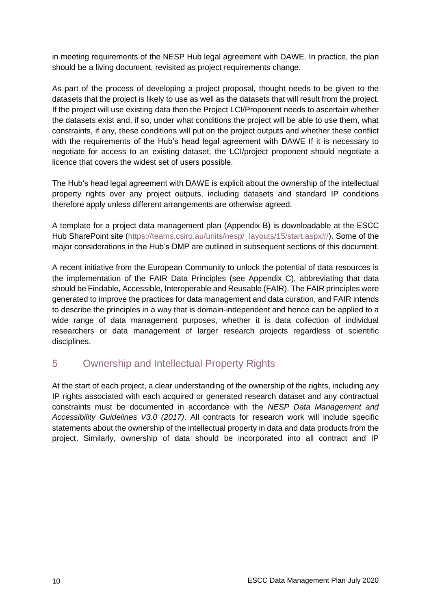in meeting requirements of the NESP Hub legal agreement with DAWE. In practice, the plan should be a living document, revisited as project requirements change.

As part of the process of developing a project proposal, thought needs to be given to the datasets that the project is likely to use as well as the datasets that will result from the project. If the project will use existing data then the Project LCI/Proponent needs to ascertain whether the datasets exist and, if so, under what conditions the project will be able to use them, what constraints, if any, these conditions will put on the project outputs and whether these conflict with the requirements of the Hub's head legal agreement with DAWE If it is necessary to negotiate for access to an existing dataset, the LCI/project proponent should negotiate a licence that covers the widest set of users possible.

The Hub's head legal agreement with DAWE is explicit about the ownership of the intellectual property rights over any project outputs, including datasets and standard IP conditions therefore apply unless different arrangements are otherwise agreed.

A template for a project data management plan (Appendix B) is downloadable at the ESCC Hub SharePoint site [\(https://teams.csiro.au/units/nesp/\\_layouts/15/start.aspx#/\)](https://teams.csiro.au/units/nesp/_layouts/15/start.aspx#/). Some of the major considerations in the Hub's DMP are outlined in subsequent sections of this document.

A recent initiative from the European Community to unlock the potential of data resources is the implementation of the FAIR Data Principles (see Appendix C), abbreviating that data should be Findable, Accessible, Interoperable and Reusable (FAIR). The FAIR principles were generated to improve the practices for data management and data curation, and FAIR intends to describe the principles in a way that is domain-independent and hence can be applied to a wide range of data management purposes, whether it is data collection of individual researchers or data management of larger research projects regardless of scientific disciplines.

## <span id="page-9-0"></span>5 Ownership and Intellectual Property Rights

At the start of each project, a clear understanding of the ownership of the rights, including any IP rights associated with each acquired or generated research dataset and any contractual constraints must be documented in accordance with the *[NESP Data Management and](file://///fsvic3-mel/CMAR-Home1/goo17h/NESP/Data%20&%20Information%20Management/nesp-data-accessibility-guidelines-v3.pdf)  [Accessibility Guidelines V3.0 \(2017\)](file://///fsvic3-mel/CMAR-Home1/goo17h/NESP/Data%20&%20Information%20Management/nesp-data-accessibility-guidelines-v3.pdf)*. All contracts for research work will include specific statements about the ownership of the intellectual property in data and data products from the project. Similarly, ownership of data should be incorporated into all contract and IP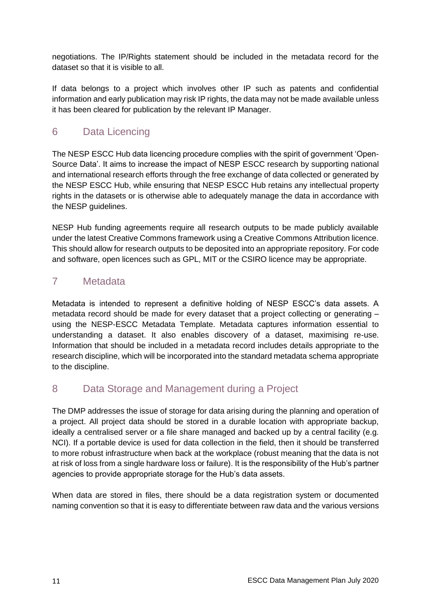negotiations. The IP/Rights statement should be included in the metadata record for the dataset so that it is visible to all.

If data belongs to a project which involves other IP such as patents and confidential information and early publication may risk IP rights, the data may not be made available unless it has been cleared for publication by the relevant IP Manager.

## <span id="page-10-0"></span>6 Data Licencing

The NESP ESCC Hub data licencing procedure complies with the spirit of government 'Open-Source Data'. It aims to increase the impact of NESP ESCC research by supporting national and international research efforts through the free exchange of data collected or generated by the NESP ESCC Hub, while ensuring that NESP ESCC Hub retains any intellectual property rights in the datasets or is otherwise able to adequately manage the data in accordance with the NESP guidelines.

NESP Hub funding agreements require all research outputs to be made publicly available under the latest Creative Commons framework using a Creative Commons Attribution licence. This should allow for research outputs to be deposited into an appropriate repository. For code and software, open licences such as GPL, MIT or the CSIRO licence may be appropriate.

## <span id="page-10-1"></span>7 Metadata

Metadata is intended to represent a definitive holding of NESP ESCC's data assets. A metadata record should be made for every dataset that a project collecting or generating – using the NESP-ESCC Metadata Template. Metadata captures information essential to understanding a dataset. It also enables discovery of a dataset, maximising re-use. Information that should be included in a metadata record includes details appropriate to the research discipline, which will be incorporated into the standard metadata schema appropriate to the discipline.

## <span id="page-10-2"></span>8 Data Storage and Management during a Project

The DMP addresses the issue of storage for data arising during the planning and operation of a project. All project data should be stored in a durable location with appropriate backup, ideally a centralised server or a file share managed and backed up by a central facility (e.g. NCI). If a portable device is used for data collection in the field, then it should be transferred to more robust infrastructure when back at the workplace (robust meaning that the data is not at risk of loss from a single hardware loss or failure). It is the responsibility of the Hub's partner agencies to provide appropriate storage for the Hub's data assets.

When data are stored in files, there should be a data registration system or documented naming convention so that it is easy to differentiate between raw data and the various versions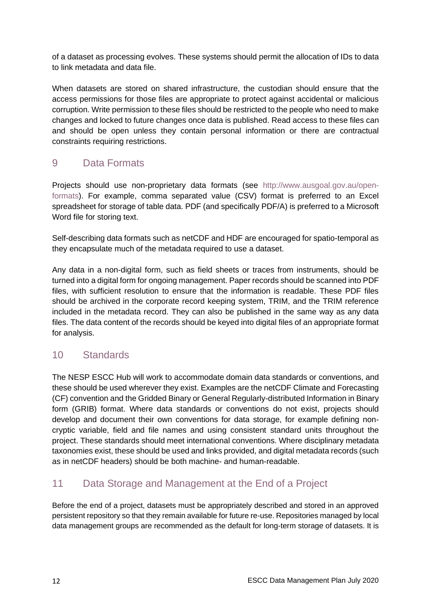of a dataset as processing evolves. These systems should permit the allocation of IDs to data to link metadata and data file.

When datasets are stored on shared infrastructure, the custodian should ensure that the access permissions for those files are appropriate to protect against accidental or malicious corruption. Write permission to these files should be restricted to the people who need to make changes and locked to future changes once data is published. Read access to these files can and should be open unless they contain personal information or there are contractual constraints requiring restrictions.

#### <span id="page-11-0"></span>9 Data Formats

Projects should use non-proprietary data formats (see [http://www.ausgoal.gov.au/open](http://www.ausgoal.gov.au/open-formats)[formats\)](http://www.ausgoal.gov.au/open-formats). For example, comma separated value (CSV) format is preferred to an Excel spreadsheet for storage of table data. PDF (and specifically PDF/A) is preferred to a Microsoft Word file for storing text.

Self-describing data formats such as netCDF and HDF are encouraged for spatio-temporal as they encapsulate much of the metadata required to use a dataset.

Any data in a non-digital form, such as field sheets or traces from instruments, should be turned into a digital form for ongoing management. Paper records should be scanned into PDF files, with sufficient resolution to ensure that the information is readable. These PDF files should be archived in the corporate record keeping system, TRIM, and the TRIM reference included in the metadata record. They can also be published in the same way as any data files. The data content of the records should be keyed into digital files of an appropriate format for analysis.

## <span id="page-11-1"></span>10 Standards

The NESP ESCC Hub will work to accommodate domain data standards or conventions, and these should be used wherever they exist. Examples are the netCDF Climate and Forecasting (CF) convention and the Gridded Binary or General Regularly-distributed Information in Binary form (GRIB) format. Where data standards or conventions do not exist, projects should develop and document their own conventions for data storage, for example defining noncryptic variable, field and file names and using consistent standard units throughout the project. These standards should meet international conventions. Where disciplinary metadata taxonomies exist, these should be used and links provided, and digital metadata records (such as in netCDF headers) should be both machine- and human-readable.

## <span id="page-11-2"></span>11 Data Storage and Management at the End of a Project

Before the end of a project, datasets must be appropriately described and stored in an approved persistent repository so that they remain available for future re-use. Repositories managed by local data management groups are recommended as the default for long-term storage of datasets. It is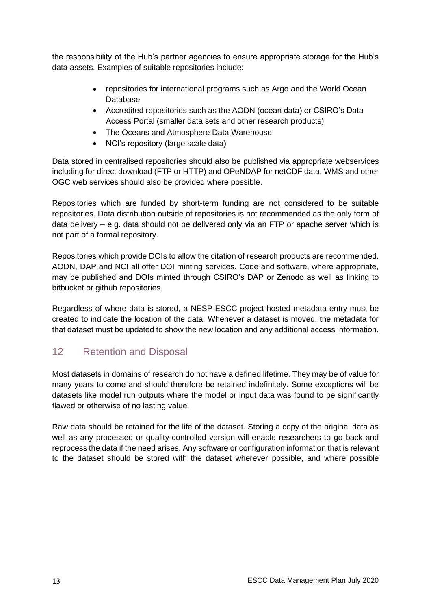the responsibility of the Hub's partner agencies to ensure appropriate storage for the Hub's data assets. Examples of suitable repositories include:

- repositories for international programs such as Argo and the World Ocean Database
- Accredited repositories such as the AODN (ocean data) or CSIRO's Data Access Portal (smaller data sets and other research products)
- The Oceans and Atmosphere Data Warehouse
- NCI's repository (large scale data)

Data stored in centralised repositories should also be published via appropriate webservices including for direct download (FTP or HTTP) and OPeNDAP for netCDF data. WMS and other OGC web services should also be provided where possible.

Repositories which are funded by short-term funding are not considered to be suitable repositories. Data distribution outside of repositories is not recommended as the only form of data delivery – e.g. data should not be delivered only via an FTP or apache server which is not part of a formal repository.

Repositories which provide DOIs to allow the citation of research products are recommended. AODN, DAP and NCI all offer DOI minting services. Code and software, where appropriate, may be published and DOIs minted through CSIRO's DAP or Zenodo as well as linking to bitbucket or github repositories.

Regardless of where data is stored, a NESP-ESCC project-hosted metadata entry must be created to indicate the location of the data. Whenever a dataset is moved, the metadata for that dataset must be updated to show the new location and any additional access information.

## <span id="page-12-0"></span>12 Retention and Disposal

Most datasets in domains of research do not have a defined lifetime. They may be of value for many years to come and should therefore be retained indefinitely. Some exceptions will be datasets like model run outputs where the model or input data was found to be significantly flawed or otherwise of no lasting value.

Raw data should be retained for the life of the dataset. Storing a copy of the original data as well as any processed or quality-controlled version will enable researchers to go back and reprocess the data if the need arises. Any software or configuration information that is relevant to the dataset should be stored with the dataset wherever possible, and where possible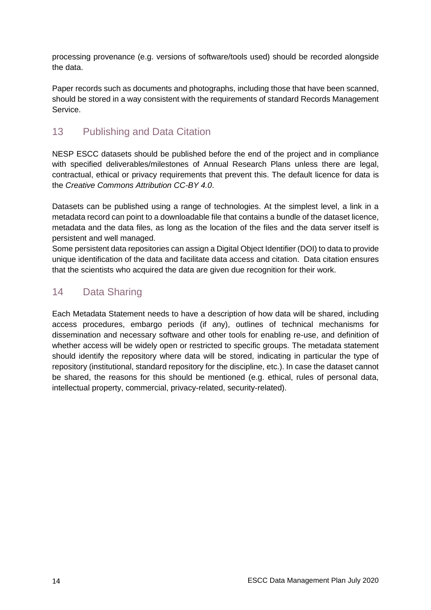processing provenance (e.g. versions of software/tools used) should be recorded alongside the data.

Paper records such as documents and photographs, including those that have been scanned, should be stored in a way consistent with the requirements of standard Records Management Service.

## <span id="page-13-0"></span>13 Publishing and Data Citation

NESP ESCC datasets should be published before the end of the project and in compliance with specified deliverables/milestones of Annual Research Plans unless there are legal, contractual, ethical or privacy requirements that prevent this. The default licence for data is the *[Creative Commons Attribution CC-BY](https://creativecommons.org/licenses/by/3.0/au/deed.en) 4.0*.

Datasets can be published using a range of technologies. At the simplest level, a link in a metadata record can point to a downloadable file that contains a bundle of the dataset licence, metadata and the data files, as long as the location of the files and the data server itself is persistent and well managed.

Some persistent data repositories can assign a [Digital Object Identifier](http://en.wikipedia.org/wiki/Digital_object_identifier) (DOI) to data to provide unique identification of the data and facilitate data access and citation. Data citation ensures that the scientists who acquired the data are given due recognition for their work.

#### <span id="page-13-1"></span>14 Data Sharing

Each Metadata Statement needs to have a description of how data will be shared, including access procedures, embargo periods (if any), outlines of technical mechanisms for dissemination and necessary software and other tools for enabling re-use, and definition of whether access will be widely open or restricted to specific groups. The metadata statement should identify the repository where data will be stored, indicating in particular the type of repository (institutional, standard repository for the discipline, etc.). In case the dataset cannot be shared, the reasons for this should be mentioned (e.g. ethical, rules of personal data, intellectual property, commercial, privacy-related, security-related).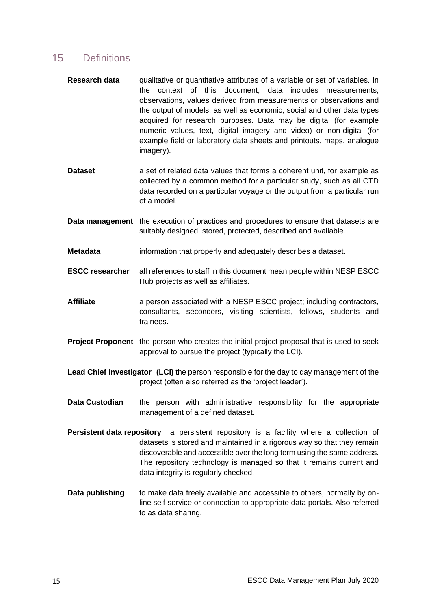#### <span id="page-14-0"></span>15 Definitions

- **Research data** qualitative or quantitative attributes of a variable or set of variables. In the context of this document, data includes measurements, observations, values derived from measurements or observations and the output of models, as well as economic, social and other data types acquired for research purposes. Data may be digital (for example numeric values, text, digital imagery and video) or non-digital (for example field or laboratory data sheets and printouts, maps, analogue imagery).
- **Dataset** a set of related data values that forms a coherent unit, for example as collected by a common method for a particular study, such as all CTD data recorded on a particular voyage or the output from a particular run of a model.
- **Data management** the execution of practices and procedures to ensure that datasets are suitably designed, stored, protected, described and available.
- **Metadata** information that properly and adequately describes a dataset.
- **ESCC researcher** all references to staff in this document mean people within NESP ESCC Hub projects as well as affiliates.
- Affiliate a person associated with a NESP ESCC project; including contractors, consultants, seconders, visiting scientists, fellows, students and trainees.
- **Project Proponent** the person who creates the initial project proposal that is used to seek approval to pursue the project (typically the LCI).
- **Lead Chief Investigator (LCI)** the person responsible for the day to day management of the project (often also referred as the 'project leader').
- **Data Custodian** the person with administrative responsibility for the appropriate management of a defined dataset.
- **Persistent data repository** a persistent repository is a facility where a collection of datasets is stored and maintained in a rigorous way so that they remain discoverable and accessible over the long term using the same address. The repository technology is managed so that it remains current and data integrity is regularly checked.
- **Data publishing** to make data freely available and accessible to others, normally by online self-service or connection to appropriate data portals. Also referred to as data sharing.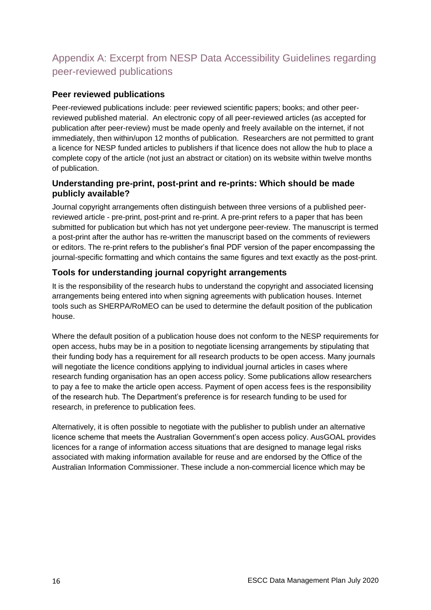## <span id="page-15-0"></span>Appendix A: Excerpt from NESP Data Accessibility Guidelines regarding peer-reviewed publications

#### **Peer reviewed publications**

Peer-reviewed publications include: peer reviewed scientific papers; books; and other peerreviewed published material. An electronic copy of all peer-reviewed articles (as accepted for publication after peer-review) must be made openly and freely available on the internet, if not immediately, then within/upon 12 months of publication. Researchers are not permitted to grant a licence for NESP funded articles to publishers if that licence does not allow the hub to place a complete copy of the article (not just an abstract or citation) on its website within twelve months of publication.

#### **Understanding pre-print, post-print and re-prints: Which should be made publicly available?**

Journal copyright arrangements often distinguish between three versions of a published peerreviewed article - pre-print, post-print and re-print. A pre-print refers to a paper that has been submitted for publication but which has not yet undergone peer-review. The manuscript is termed a post-print after the author has re-written the manuscript based on the comments of reviewers or editors. The re-print refers to the publisher's final PDF version of the paper encompassing the journal-specific formatting and which contains the same figures and text exactly as the post-print.

#### **Tools for understanding journal copyright arrangements**

It is the responsibility of the research hubs to understand the copyright and associated licensing arrangements being entered into when signing agreements with publication houses. Internet tools such as SHERPA/RoMEO can be used to determine the default position of the publication house.

Where the default position of a publication house does not conform to the NESP requirements for open access, hubs may be in a position to negotiate licensing arrangements by stipulating that their funding body has a requirement for all research products to be open access. Many journals will negotiate the licence conditions applying to individual journal articles in cases where research funding organisation has an open access policy. Some publications allow researchers to pay a fee to make the article open access. Payment of open access fees is the responsibility of the research hub. The Department's preference is for research funding to be used for research, in preference to publication fees.

Alternatively, it is often possible to negotiate with the publisher to publish under an alternative licence scheme that meets the Australian Government's open access policy. AusGOAL provides licences for a range of information access situations that are designed to manage legal risks associated with making information available for reuse and are endorsed by the Office of the Australian Information Commissioner. These include a non-commercial licence which may be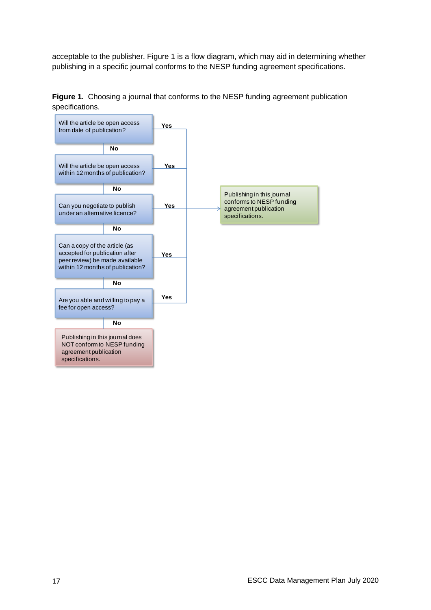acceptable to the publisher. Figure 1 is a flow diagram, which may aid in determining whether publishing in a specific journal conforms to the NESP funding agreement specifications.



**Figure 1.** Choosing a journal that conforms to the NESP funding agreement publication specifications.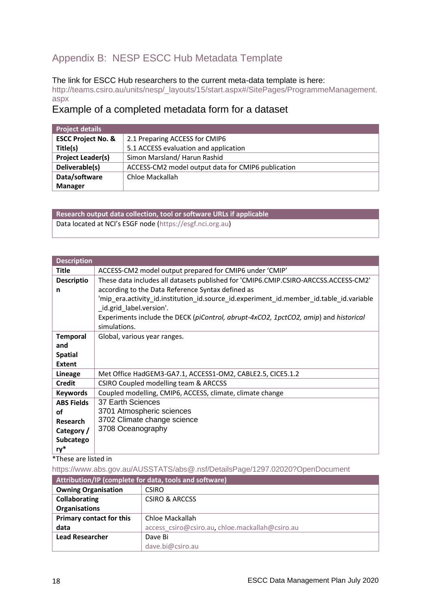## <span id="page-17-0"></span>Appendix B: NESP ESCC Hub Metadata Template

#### The link for ESCC Hub researchers to the current meta-data template is here:

[http://teams.csiro.au/units/nesp/\\_layouts/15/start.aspx#/SitePages/ProgrammeManagement.](http://teams.csiro.au/units/nesp/_layouts/15/start.aspx#/SitePages/ProgrammeManagement.aspx) [aspx](http://teams.csiro.au/units/nesp/_layouts/15/start.aspx#/SitePages/ProgrammeManagement.aspx)

#### Example of a completed metadata form for a dataset

| <b>Project details</b>        |                                                    |
|-------------------------------|----------------------------------------------------|
| <b>ESCC Project No. &amp;</b> | 2.1 Preparing ACCESS for CMIP6                     |
| Title(s)                      | 5.1 ACCESS evaluation and application              |
| <b>Project Leader(s)</b>      | Simon Marsland/Harun Rashid                        |
| Deliverable(s)                | ACCESS-CM2 model output data for CMIP6 publication |
| Data/software                 | Chloe Mackallah                                    |
| <b>Manager</b>                |                                                    |

**Research output data collection, tool or software URLs if applicable** Data located at NCI's ESGF node ([https://esgf.nci.org.au\)](https://esgf.nci.org.au/)

| <b>Description</b> |                                                                                         |
|--------------------|-----------------------------------------------------------------------------------------|
| Title              | ACCESS-CM2 model output prepared for CMIP6 under 'CMIP'                                 |
| <b>Descriptio</b>  | These data includes all datasets published for 'CMIP6.CMIP.CSIRO-ARCCSS.ACCESS-CM2'     |
| n                  | according to the Data Reference Syntax defined as                                       |
|                    | 'mip era.activity id.institution id.source id.experiment id.member id.table id.variable |
|                    | _id.grid_label.version'.                                                                |
|                    | Experiments include the DECK (piControl, abrupt-4xCO2, 1pctCO2, amip) and historical    |
|                    | simulations.                                                                            |
| <b>Temporal</b>    | Global, various year ranges.                                                            |
| and                |                                                                                         |
| <b>Spatial</b>     |                                                                                         |
| <b>Extent</b>      |                                                                                         |
| <b>Lineage</b>     | Met Office HadGEM3-GA7.1, ACCESS1-OM2, CABLE2.5, CICE5.1.2                              |
| <b>Credit</b>      | CSIRO Coupled modelling team & ARCCSS                                                   |
| <b>Keywords</b>    | Coupled modelling, CMIP6, ACCESS, climate, climate change                               |
| <b>ABS Fields</b>  | 37 Earth Sciences                                                                       |
| οf                 | 3701 Atmospheric sciences                                                               |
| <b>Research</b>    | 3702 Climate change science                                                             |
| Category /         | 3708 Oceanography                                                                       |
| Subcatego          |                                                                                         |
| ry*                |                                                                                         |

\*These are listed in

[https://www.abs.gov.au/AUSSTATS/abs@.nsf/DetailsPage/1297.02020?OpenDocument](mailto:https://www.abs.gov.au/AUSSTATS/abs@.nsf/DetailsPage/1297.02020?OpenDocument)

| Attribution/IP (complete for data, tools and software) |                                                 |
|--------------------------------------------------------|-------------------------------------------------|
| <b>Owning Organisation</b>                             | <b>CSIRO</b>                                    |
| <b>Collaborating</b>                                   | <b>CSIRO &amp; ARCCSS</b>                       |
| <b>Organisations</b>                                   |                                                 |
| Primary contact for this                               | Chloe Mackallah                                 |
| data                                                   | access csiro@csiro.au, chloe.mackallah@csiro.au |
| <b>Lead Researcher</b>                                 | Dave Bi                                         |
|                                                        | dave.bi@csiro.au                                |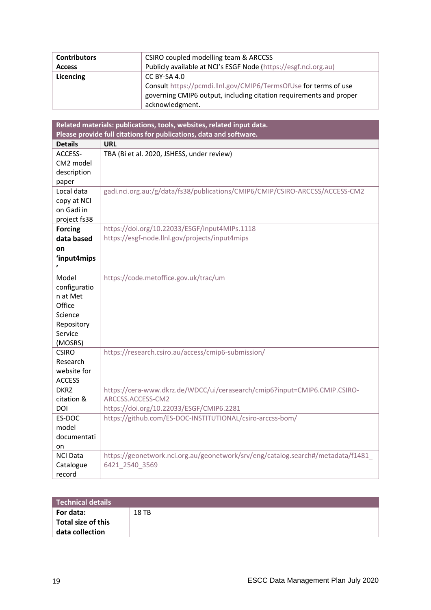| <b>Contributors</b> | CSIRO coupled modelling team & ARCCSS                              |  |
|---------------------|--------------------------------------------------------------------|--|
| <b>Access</b>       | Publicly available at NCI's ESGF Node (https://esgf.nci.org.au)    |  |
| Licencing           | CC BY-SA 4.0                                                       |  |
|                     | Consult https://pcmdi.llnl.gov/CMIP6/TermsOfUse for terms of use   |  |
|                     | governing CMIP6 output, including citation requirements and proper |  |
|                     | acknowledgment.                                                    |  |

| Related materials: publications, tools, websites, related input data. |                                                                                 |  |
|-----------------------------------------------------------------------|---------------------------------------------------------------------------------|--|
|                                                                       | Please provide full citations for publications, data and software.              |  |
| <b>Details</b>                                                        | <b>URL</b>                                                                      |  |
| ACCESS-                                                               | TBA (Bi et al. 2020, JSHESS, under review)                                      |  |
| CM2 model                                                             |                                                                                 |  |
| description                                                           |                                                                                 |  |
| paper                                                                 |                                                                                 |  |
| Local data                                                            | gadi.nci.org.au:/g/data/fs38/publications/CMIP6/CMIP/CSIRO-ARCCSS/ACCESS-CM2    |  |
| copy at NCI                                                           |                                                                                 |  |
| on Gadi in                                                            |                                                                                 |  |
| project fs38                                                          |                                                                                 |  |
| <b>Forcing</b>                                                        | https://doi.org/10.22033/ESGF/input4MIPs.1118                                   |  |
| data based                                                            | https://esgf-node.llnl.gov/projects/input4mips                                  |  |
| on                                                                    |                                                                                 |  |
| 'input4mips                                                           |                                                                                 |  |
|                                                                       |                                                                                 |  |
| Model                                                                 | https://code.metoffice.gov.uk/trac/um                                           |  |
| configuratio                                                          |                                                                                 |  |
| n at Met                                                              |                                                                                 |  |
| Office                                                                |                                                                                 |  |
| Science                                                               |                                                                                 |  |
| Repository                                                            |                                                                                 |  |
| Service                                                               |                                                                                 |  |
| (MOSRS)                                                               |                                                                                 |  |
| <b>CSIRO</b>                                                          | https://research.csiro.au/access/cmip6-submission/                              |  |
| Research                                                              |                                                                                 |  |
| website for                                                           |                                                                                 |  |
| <b>ACCESS</b>                                                         |                                                                                 |  |
| <b>DKRZ</b>                                                           | https://cera-www.dkrz.de/WDCC/ui/cerasearch/cmip6?input=CMIP6.CMIP.CSIRO-       |  |
| citation &                                                            | ARCCSS.ACCESS-CM2                                                               |  |
| DOI                                                                   | https://doi.org/10.22033/ESGF/CMIP6.2281                                        |  |
| ES-DOC                                                                | https://github.com/ES-DOC-INSTITUTIONAL/csiro-arccss-bom/                       |  |
| model                                                                 |                                                                                 |  |
| documentati                                                           |                                                                                 |  |
| on                                                                    |                                                                                 |  |
| <b>NCI Data</b>                                                       | https://geonetwork.nci.org.au/geonetwork/srv/eng/catalog.search#/metadata/f1481 |  |
| Catalogue                                                             | 6421 2540 3569                                                                  |  |
| record                                                                |                                                                                 |  |

| <b>Technical details</b>                           |       |
|----------------------------------------------------|-------|
| For data:<br>Total size of this<br>data collection | 18 TB |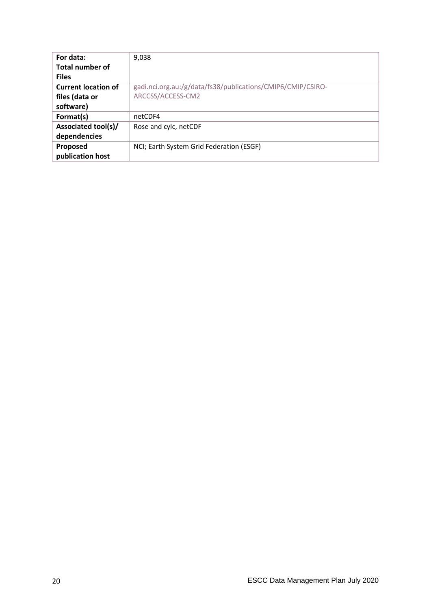| For data:                  | 9,038                                                       |
|----------------------------|-------------------------------------------------------------|
| <b>Total number of</b>     |                                                             |
| <b>Files</b>               |                                                             |
| <b>Current location of</b> | gadi.nci.org.au:/g/data/fs38/publications/CMIP6/CMIP/CSIRO- |
| files (data or             | ARCCSS/ACCESS-CM2                                           |
| software)                  |                                                             |
| Format(s)                  | netCDF4                                                     |
| Associated tool(s)/        | Rose and cylc, netCDF                                       |
| dependencies               |                                                             |
| Proposed                   | NCI; Earth System Grid Federation (ESGF)                    |
| publication host           |                                                             |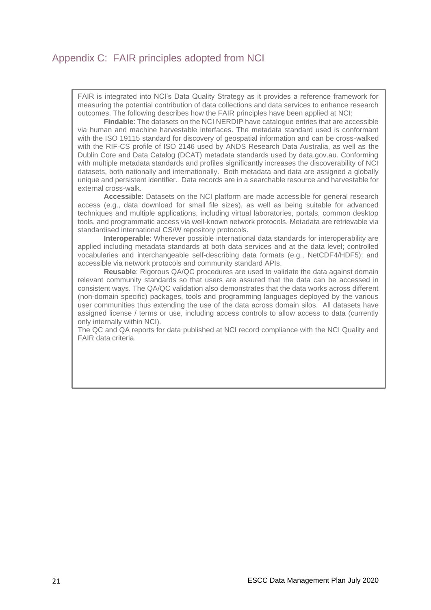## <span id="page-20-0"></span>Appendix C: FAIR principles adopted from NCI

FAIR is integrated into NCI's Data Quality Strategy as it provides a reference framework for measuring the potential contribution of data collections and data services to enhance research outcomes. The following describes how the FAIR principles have been applied at NCI:

**Findable**: The datasets on the NCI NERDIP have catalogue entries that are accessible via human and machine harvestable interfaces. The metadata standard used is conformant with the ISO 19115 standard for discovery of geospatial information and can be cross-walked with the RIF-CS profile of ISO 2146 used by ANDS Research Data Australia, as well as the Dublin Core and Data Catalog (DCAT) metadata standards used by data.gov.au. Conforming with multiple metadata standards and profiles significantly increases the discoverability of NCI datasets, both nationally and internationally. Both metadata and data are assigned a globally unique and persistent identifier. Data records are in a searchable resource and harvestable for external cross-walk.

**Accessible**: Datasets on the NCI platform are made accessible for general research access (e.g., data download for small file sizes), as well as being suitable for advanced techniques and multiple applications, including virtual laboratories, portals, common desktop tools, and programmatic access via well-known network protocols. Metadata are retrievable via standardised international CS/W repository protocols.

**Interoperable**: Wherever possible international data standards for interoperability are applied including metadata standards at both data services and at the data level; controlled vocabularies and interchangeable self-describing data formats (e.g., NetCDF4/HDF5); and accessible via network protocols and community standard APIs.

**Reusable**: Rigorous QA/QC procedures are used to validate the data against domain relevant community standards so that users are assured that the data can be accessed in consistent ways. The QA/QC validation also demonstrates that the data works across different (non-domain specific) packages, tools and programming languages deployed by the various user communities thus extending the use of the data across domain silos. All datasets have assigned license / terms or use, including access controls to allow access to data (currently only internally within NCI).

The QC and QA reports for data published at NCI record compliance with the NCI Quality and FAIR data criteria.